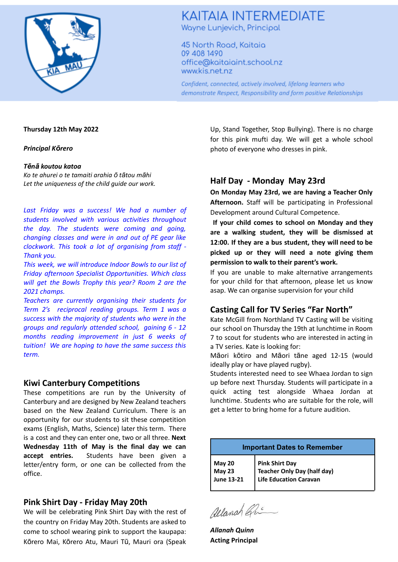

## **KAITAIA INTERMEDIATE** Wayne Lunjevich, Principal

45 North Road, Kaitaia 09 408 1490 office@kaitaiaint.school.nz www.kis.net.nz

Confident, connected, actively involved, lifelong learners who demonstrate Respect, Responsibility and form positive Relationships

#### **Thursday 12th May 2022**

*Principal Kōrero*

#### *Tēnā koutou katoa*

*Ko te ahurei o te tamaiti arahia ō tātou māhi Let the uniqueness of the child guide our work.*

*Last Friday was a success! We had a number of students involved with various activities throughout the day. The students were coming and going, changing classes and were in and out of PE gear like clockwork. This took a lot of organising from staff - Thank you.*

*This week, we will introduce Indoor Bowls to our list of Friday afternoon Specialist Opportunities. Which class will get the Bowls Trophy this year? Room 2 are the 2021 champs.*

*Teachers are currently organising their students for Term 2's reciprocal reading groups. Term 1 was a success with the majority of students who were in the groups and regularly attended school, gaining 6 - 12 months reading improvement in just 6 weeks of tuition! We are hoping to have the same success this term.*

### **Kiwi Canterbury Competitions**

These competitions are run by the University of Canterbury and are designed by New Zealand teachers based on the New Zealand Curriculum. There is an opportunity for our students to sit these competition exams (English, Maths, Science) later this term. There is a cost and they can enter one, two or all three. **Next Wednesday 11th of May is the final day we can accept entries.** Students have been given a letter/entry form, or one can be collected from the office.

### **Pink Shirt Day - Friday May 20th**

We will be celebrating Pink Shirt Day with the rest of the country on Friday May 20th. Students are asked to come to school wearing pink to support the kaupapa: Kōrero Mai, Kōrero Atu, Mauri Tū, Mauri ora (Speak Up, Stand Together, Stop Bullying). There is no charge for this pink mufti day. We will get a whole school photo of everyone who dresses in pink.

### **Half Day - Monday May 23rd**

**On Monday May 23rd, we are having a Teacher Only Afternoon.** Staff will be participating in Professional Development around Cultural Competence.

**If your child comes to school on Monday and they are a walking student, they will be dismissed at 12:00. If they are a bus student, they will need to be picked up or they will need a note giving them permission to walk to their parent's work.**

If you are unable to make alternative arrangements for your child for that afternoon, please let us know asap. We can organise supervision for your child

## **Casting Call for TV Series "Far North"**

Kate McGill from Northland TV Casting will be visiting our school on Thursday the 19th at lunchtime in Room 7 to scout for students who are interested in acting in a TV series. Kate is looking for:

Māori kōtiro and Māori tāne aged 12-15 (would ideally play or have played rugby).

Students interested need to see Whaea Jordan to sign up before next Thursday. Students will participate in a quick acting test alongside Whaea Jordan at lunchtime. Students who are suitable for the role, will get a letter to bring home for a future audition.

| <b>Important Dates to Remember</b>           |                                                                                |
|----------------------------------------------|--------------------------------------------------------------------------------|
| May 20<br><b>May 23</b><br><b>June 13-21</b> | <b>Pink Shirt Day</b><br>Teacher Only Day (half day)<br>Life Education Caravan |

allanah Gri

*Allanah Quinn* **Acting Principal**